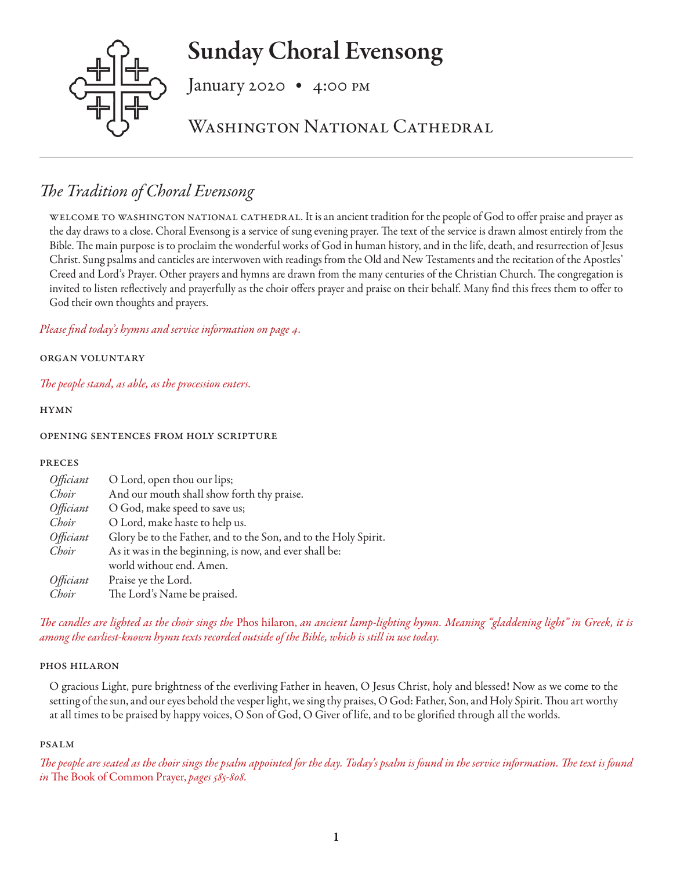# Sunday Choral Evensong



January 2020 • 4:00 pm

WASHINGTON NATIONAL CATHEDRAL

# *The Tradition of Choral Evensong*

welcome to washington national cathedral. It is an ancient tradition for the people of God to offer praise and prayer as the day draws to a close. Choral Evensong is a service of sung evening prayer. The text of the service is drawn almost entirely from the Bible. The main purpose is to proclaim the wonderful works of God in human history, and in the life, death, and resurrection of Jesus Christ. Sung psalms and canticles are interwoven with readings from the Old and New Testaments and the recitation of the Apostles' Creed and Lord's Prayer. Other prayers and hymns are drawn from the many centuries of the Christian Church. The congregation is invited to listen reflectively and prayerfully as the choir offers prayer and praise on their behalf. Many find this frees them to offer to God their own thoughts and prayers.

*Please find today's hymns and service information on page 4.*

# organ voluntary

*The people stand, as able, as the procession enters.* 

hymn

# opening sentences from holy scripture

# preces

| O Lord, open thou our lips;                                     |
|-----------------------------------------------------------------|
| And our mouth shall show forth thy praise.                      |
| O God, make speed to save us;                                   |
| O Lord, make haste to help us.                                  |
| Glory be to the Father, and to the Son, and to the Holy Spirit. |
| As it was in the beginning, is now, and ever shall be:          |
| world without end. Amen.                                        |
| Praise ye the Lord.                                             |
| The Lord's Name be praised.                                     |
|                                                                 |

*The candles are lighted as the choir sings the* Phos hilaron, *an ancient lamp-lighting hymn. Meaning "gladdening light" in Greek, it is among the earliest-known hymn texts recorded outside of the Bible, which is still in use today.*

# phos hilaron

O gracious Light, pure brightness of the everliving Father in heaven, O Jesus Christ, holy and blessed! Now as we come to the setting of the sun, and our eyes behold the vesper light, we sing thy praises, O God: Father, Son, and Holy Spirit. Thou art worthy at all times to be praised by happy voices, O Son of God, O Giver of life, and to be glorified through all the worlds.

# psalm

*The people are seated as the choir sings the psalm appointed for the day. Today's psalm is found in the service information. The text is found in* The Book of Common Prayer, *pages 585-808.*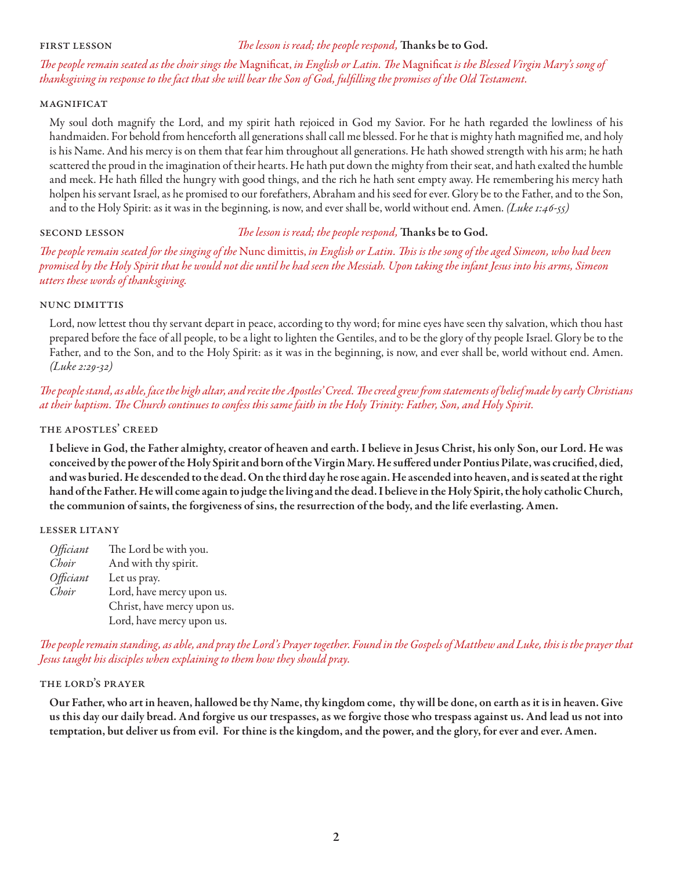# first lesson *The lesson is read; the people respond,* Thanks be to God.

*The people remain seated as the choir sings the* Magnificat, *in English or Latin. The* Magnificat *is the Blessed Virgin Mary's song of thanksgiving in response to the fact that she will bear the Son of God, fulfilling the promises of the Old Testament.* 

# magnificat

My soul doth magnify the Lord, and my spirit hath rejoiced in God my Savior. For he hath regarded the lowliness of his handmaiden. For behold from henceforth all generations shall call me blessed. For he that is mighty hath magnified me, and holy is his Name. And his mercy is on them that fear him throughout all generations. He hath showed strength with his arm; he hath scattered the proud in the imagination of their hearts. He hath put down the mighty from their seat, and hath exalted the humble and meek. He hath filled the hungry with good things, and the rich he hath sent empty away. He remembering his mercy hath holpen his servant Israel, as he promised to our forefathers, Abraham and his seed for ever. Glory be to the Father, and to the Son, and to the Holy Spirit: as it was in the beginning, is now, and ever shall be, world without end. Amen. *(Luke 1:46-55)* 

# second lesson *The lesson is read; the people respond,* Thanks be to God.

*The people remain seated for the singing of the* Nunc dimittis, *in English or Latin. This is the song of the aged Simeon, who had been promised by the Holy Spirit that he would not die until he had seen the Messiah. Upon taking the infant Jesus into his arms, Simeon utters these words of thanksgiving.* 

# nunc dimittis

Lord, now lettest thou thy servant depart in peace, according to thy word; for mine eyes have seen thy salvation, which thou hast prepared before the face of all people, to be a light to lighten the Gentiles, and to be the glory of thy people Israel. Glory be to the Father, and to the Son, and to the Holy Spirit: as it was in the beginning, is now, and ever shall be, world without end. Amen. *(Luke 2:29-32)*

# *The people stand, as able, face the high altar, and recite the Apostles' Creed. The creed grew from statements of belief made by early Christians at their baptism. The Church continues to confess this same faith in the Holy Trinity: Father, Son, and Holy Spirit.*

# the apostles' creed

I believe in God, the Father almighty, creator of heaven and earth. I believe in Jesus Christ, his only Son, our Lord. He was conceived by the power of the Holy Spirit and born of the Virgin Mary. He suffered under Pontius Pilate, was crucified, died, and was buried. He descended to the dead. On the third day he rose again. He ascended into heaven, and is seated at the right hand of the Father. He will come again to judge the living and the dead. I believe in the Holy Spirit, the holy catholic Church, the communion of saints, the forgiveness of sins, the resurrection of the body, and the life everlasting. Amen.

# lesser litany

*Officiant* The Lord be with you. *Choir* And with thy spirit. *Officiant* Let us pray. *Choir* Lord, have mercy upon us. Christ, have mercy upon us. Lord, have mercy upon us.

*The people remain standing, as able, and pray the Lord's Prayer together. Found in the Gospels of Matthew and Luke, this is the prayer that Jesus taught his disciples when explaining to them how they should pray.*

# the lord's prayer

Our Father, who art in heaven, hallowed be thy Name, thy kingdom come, thy will be done, on earth as it is in heaven. Give us this day our daily bread. And forgive us our trespasses, as we forgive those who trespass against us. And lead us not into temptation, but deliver us from evil. For thine is the kingdom, and the power, and the glory, for ever and ever. Amen.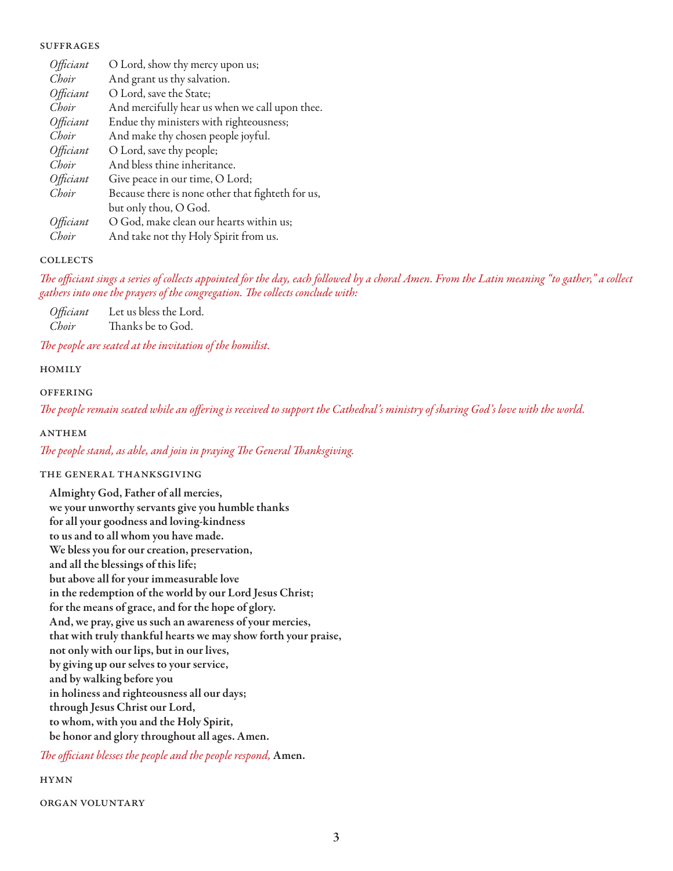# **SUFFRAGES**

| Officiant | O Lord, show thy mercy upon us;                   |
|-----------|---------------------------------------------------|
| Choir     | And grant us thy salvation.                       |
| Officiant | O Lord, save the State;                           |
| Choir     | And mercifully hear us when we call upon thee.    |
| Officiant | Endue thy ministers with righteousness;           |
| Choir     | And make thy chosen people joyful.                |
| Officiant | O Lord, save thy people;                          |
| Choir     | And bless thine inheritance.                      |
| Officiant | Give peace in our time, O Lord;                   |
| Choir     | Because there is none other that fighteth for us, |
|           | but only thou, O God.                             |
| Officiant | O God, make clean our hearts within us;           |
| Choir     | And take not thy Holy Spirit from us.             |

# **COLLECTS**

*The officiant sings a series of collects appointed for the day, each followed by a choral Amen. From the Latin meaning "to gather," a collect gathers into one the prayers of the congregation. The collects conclude with:* 

*Officiant* Let us bless the Lord. *Choir* Thanks be to God.

*The people are seated at the invitation of the homilist.*

# **HOMILY**

# **OFFERING**

*The people remain seated while an offering is received to support the Cathedral's ministry of sharing God's love with the world.* 

# **ANTHEM**

*The people stand, as able, and join in praying The General Thanksgiving.*

# the general thanksgiving

Almighty God, Father of all mercies, we your unworthy servants give you humble thanks for all your goodness and loving-kindness to us and to all whom you have made. We bless you for our creation, preservation, and all the blessings of this life; but above all for your immeasurable love in the redemption of the world by our Lord Jesus Christ; for the means of grace, and for the hope of glory. And, we pray, give us such an awareness of your mercies, that with truly thankful hearts we may show forth your praise, not only with our lips, but in our lives, by giving up our selves to your service, and by walking before you in holiness and righteousness all our days; through Jesus Christ our Lord, to whom, with you and the Holy Spirit, be honor and glory throughout all ages. Amen.

*The officiant blesses the people and the people respond,* Amen.

# hymn

organ voluntary